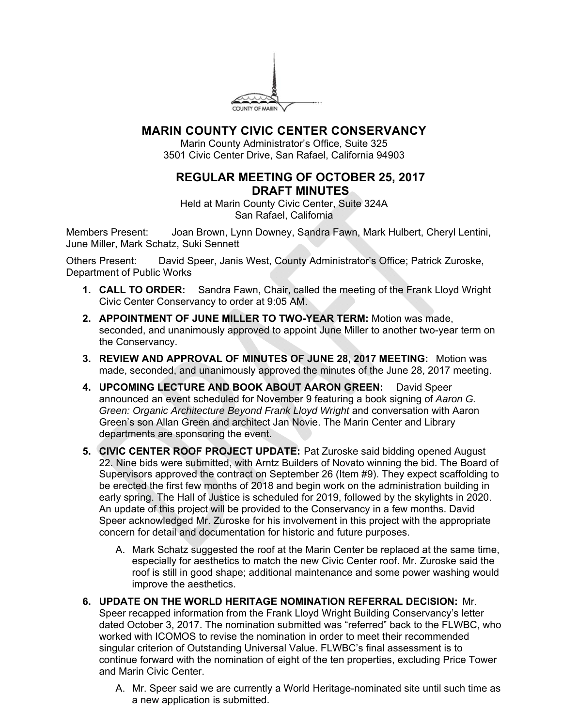

## **MARIN COUNTY CIVIC CENTER CONSERVANCY**

Marin County Administrator's Office, Suite 325 3501 Civic Center Drive, San Rafael, California 94903

## **REGULAR MEETING OF OCTOBER 25, 2017 DRAFT MINUTES**

Held at Marin County Civic Center, Suite 324A San Rafael, California

Members Present: Joan Brown, Lynn Downey, Sandra Fawn, Mark Hulbert, Cheryl Lentini, June Miller, Mark Schatz, Suki Sennett

Others Present: David Speer, Janis West, County Administrator's Office; Patrick Zuroske, Department of Public Works

- **1. CALL TO ORDER:** Sandra Fawn, Chair, called the meeting of the Frank Lloyd Wright Civic Center Conservancy to order at 9:05 AM.
- **2. APPOINTMENT OF JUNE MILLER TO TWO-YEAR TERM:** Motion was made, seconded, and unanimously approved to appoint June Miller to another two-year term on the Conservancy.
- **3. REVIEW AND APPROVAL OF MINUTES OF JUNE 28, 2017 MEETING:** Motion was made, seconded, and unanimously approved the minutes of the June 28, 2017 meeting.
- **4. UPCOMING LECTURE AND BOOK ABOUT AARON GREEN:** David Speer announced an event scheduled for November 9 featuring a book signing of *Aaron G. Green: Organic Architecture Beyond Frank Lloyd Wright* and conversation with Aaron Green's son Allan Green and architect Jan Novie. The Marin Center and Library departments are sponsoring the event.
- **5. CIVIC CENTER ROOF PROJECT UPDATE:** Pat Zuroske said bidding opened August 22. Nine bids were submitted, with Arntz Builders of Novato winning the bid. The Board of Supervisors approved the contract on September 26 (Item #9). They expect scaffolding to be erected the first few months of 2018 and begin work on the administration building in early spring. The Hall of Justice is scheduled for 2019, followed by the skylights in 2020. An update of this project will be provided to the Conservancy in a few months. David Speer acknowledged Mr. Zuroske for his involvement in this project with the appropriate concern for detail and documentation for historic and future purposes.
	- A. Mark Schatz suggested the roof at the Marin Center be replaced at the same time, especially for aesthetics to match the new Civic Center roof. Mr. Zuroske said the roof is still in good shape; additional maintenance and some power washing would improve the aesthetics.
- **6. UPDATE ON THE WORLD HERITAGE NOMINATION REFERRAL DECISION:** Mr. Speer recapped information from the Frank Lloyd Wright Building Conservancy's letter dated October 3, 2017. The nomination submitted was "referred" back to the FLWBC, who worked with ICOMOS to revise the nomination in order to meet their recommended singular criterion of Outstanding Universal Value. FLWBC's final assessment is to continue forward with the nomination of eight of the ten properties, excluding Price Tower and Marin Civic Center.
	- A. Mr. Speer said we are currently a World Heritage-nominated site until such time as a new application is submitted.